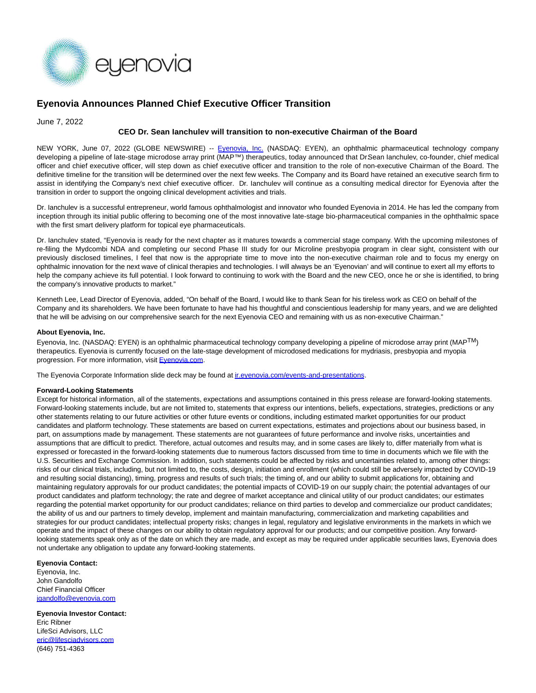

# **Eyenovia Announces Planned Chief Executive Officer Transition**

June 7, 2022

## **CEO Dr. Sean Ianchulev will transition to non-executive Chairman of the Board**

NEW YORK, June 07, 2022 (GLOBE NEWSWIRE) -- Evenovia, Inc. (NASDAQ: EYEN), an ophthalmic pharmaceutical technology company developing a pipeline of late-stage microdose array print (MAP™) therapeutics, today announced that DrSean Ianchulev, co-founder, chief medical officer and chief executive officer, will step down as chief executive officer and transition to the role of non-executive Chairman of the Board. The definitive timeline for the transition will be determined over the next few weeks. The Company and its Board have retained an executive search firm to assist in identifying the Company's next chief executive officer. Dr. Ianchulev will continue as a consulting medical director for Eyenovia after the transition in order to support the ongoing clinical development activities and trials.

Dr. Ianchulev is a successful entrepreneur, world famous ophthalmologist and innovator who founded Eyenovia in 2014. He has led the company from inception through its initial public offering to becoming one of the most innovative late-stage bio-pharmaceutical companies in the ophthalmic space with the first smart delivery platform for topical eye pharmaceuticals.

Dr. Ianchulev stated, "Eyenovia is ready for the next chapter as it matures towards a commercial stage company. With the upcoming milestones of re-filing the Mydcombi NDA and completing our second Phase III study for our Microline presbyopia program in clear sight, consistent with our previously disclosed timelines, I feel that now is the appropriate time to move into the non-executive chairman role and to focus my energy on ophthalmic innovation for the next wave of clinical therapies and technologies. I will always be an 'Eyenovian' and will continue to exert all my efforts to help the company achieve its full potential. I look forward to continuing to work with the Board and the new CEO, once he or she is identified, to bring the company's innovative products to market."

Kenneth Lee, Lead Director of Eyenovia, added, "On behalf of the Board, I would like to thank Sean for his tireless work as CEO on behalf of the Company and its shareholders. We have been fortunate to have had his thoughtful and conscientious leadership for many years, and we are delighted that he will be advising on our comprehensive search for the next Eyenovia CEO and remaining with us as non-executive Chairman."

#### **About Eyenovia, Inc.**

Eyenovia, Inc. (NASDAQ: EYEN) is an ophthalmic pharmaceutical technology company developing a pipeline of microdose array print (MAPTM) therapeutics. Eyenovia is currently focused on the late-stage development of microdosed medications for mydriasis, presbyopia and myopia progression. For more information, visit [Eyenovia.com.](http://eyenovia.com/)

The Eyenovia Corporate Information slide deck may be found at *ir.eyenovia.com/events-and-presentations*.

#### **Forward-Looking Statements**

Except for historical information, all of the statements, expectations and assumptions contained in this press release are forward-looking statements. Forward-looking statements include, but are not limited to, statements that express our intentions, beliefs, expectations, strategies, predictions or any other statements relating to our future activities or other future events or conditions, including estimated market opportunities for our product candidates and platform technology. These statements are based on current expectations, estimates and projections about our business based, in part, on assumptions made by management. These statements are not guarantees of future performance and involve risks, uncertainties and assumptions that are difficult to predict. Therefore, actual outcomes and results may, and in some cases are likely to, differ materially from what is expressed or forecasted in the forward-looking statements due to numerous factors discussed from time to time in documents which we file with the U.S. Securities and Exchange Commission. In addition, such statements could be affected by risks and uncertainties related to, among other things: risks of our clinical trials, including, but not limited to, the costs, design, initiation and enrollment (which could still be adversely impacted by COVID-19 and resulting social distancing), timing, progress and results of such trials; the timing of, and our ability to submit applications for, obtaining and maintaining regulatory approvals for our product candidates; the potential impacts of COVID-19 on our supply chain; the potential advantages of our product candidates and platform technology; the rate and degree of market acceptance and clinical utility of our product candidates; our estimates regarding the potential market opportunity for our product candidates; reliance on third parties to develop and commercialize our product candidates; the ability of us and our partners to timely develop, implement and maintain manufacturing, commercialization and marketing capabilities and strategies for our product candidates; intellectual property risks; changes in legal, regulatory and legislative environments in the markets in which we operate and the impact of these changes on our ability to obtain regulatory approval for our products; and our competitive position. Any forwardlooking statements speak only as of the date on which they are made, and except as may be required under applicable securities laws, Eyenovia does not undertake any obligation to update any forward-looking statements.

### **Eyenovia Contact:**

Eyenovia, Inc. John Gandolfo Chief Financial Officer [jgandolfo@eyenovia.com](https://www.globenewswire.com/Tracker?data=rm-y7OOqUsx--3tJ4NJeShPCw-wOJ6ehq_iv_gYw0-7oeeo8eJ0pVn95g7fUr4oPCSvPuEZX1LnR7HWfZ5_vXfS4XWWq5z7GiA-ZLxk_ROo=)

**Eyenovia Investor Contact:** Eric Ribner LifeSci Advisors, LLC [eric@lifesciadvisors.com](https://www.globenewswire.com/Tracker?data=T0o3v9Qhg1Svui6NAAn2unbW6ZOPvYHPXLc9jrXRpxxioBpezHtRRnNvBQHb-HT4wXtli6YZZeGis0C3-fZro43Jma4OVS4OhaBhD3OmNcA=) (646) 751-4363